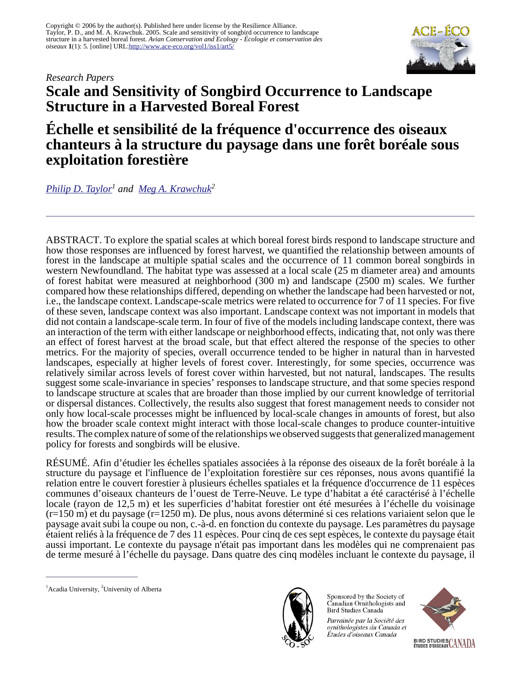#### *Research Papers*



# **Scale and Sensitivity of Songbird Occurrence to Landscape Structure in a Harvested Boreal Forest**

## **Échelle et sensibilité de la fréquence d'occurrence des oiseaux chanteurs à la structure du paysage dans une forêt boréale sous exploitation forestière**

*[Philip D. Taylor](mailto:philip.taylor@acadiau.ca)<sup>1</sup> and [Meg A. Krawchuk](mailto:megk@ualberta.ca)<sup>2</sup>*

ABSTRACT. To explore the spatial scales at which boreal forest birds respond to landscape structure and how those responses are influenced by forest harvest, we quantified the relationship between amounts of forest in the landscape at multiple spatial scales and the occurrence of 11 common boreal songbirds in western Newfoundland. The habitat type was assessed at a local scale (25 m diameter area) and amounts of forest habitat were measured at neighborhood (300 m) and landscape (2500 m) scales. We further compared how these relationships differed, depending on whether the landscape had been harvested or not, i.e., the landscape context. Landscape-scale metrics were related to occurrence for 7 of 11 species. For five of these seven, landscape context was also important. Landscape context was not important in models that did not contain a landscape-scale term. In four of five of the models including landscape context, there was an interaction of the term with either landscape or neighborhood effects, indicating that, not only was there an effect of forest harvest at the broad scale, but that effect altered the response of the species to other metrics. For the majority of species, overall occurrence tended to be higher in natural than in harvested landscapes, especially at higher levels of forest cover. Interestingly, for some species, occurrence was relatively similar across levels of forest cover within harvested, but not natural, landscapes. The results suggest some scale-invariance in species' responses to landscape structure, and that some species respond to landscape structure at scales that are broader than those implied by our current knowledge of territorial or dispersal distances. Collectively, the results also suggest that forest management needs to consider not only how local-scale processes might be influenced by local-scale changes in amounts of forest, but also how the broader scale context might interact with those local-scale changes to produce counter-intuitive results. The complex nature of some of the relationships we observed suggests that generalized management policy for forests and songbirds will be elusive.

RÉSUMÉ. Afin d'étudier les échelles spatiales associées à la réponse des oiseaux de la forêt boréale à la structure du paysage et l'influence de l'exploitation forestière sur ces réponses, nous avons quantifié la relation entre le couvert forestier à plusieurs échelles spatiales et la fréquence d'occurrence de 11 espèces communes d'oiseaux chanteurs de l'ouest de Terre-Neuve. Le type d'habitat a été caractérisé à l'échelle locale (rayon de 12,5 m) et les superficies d'habitat forestier ont été mesurées à l'échelle du voisinage (r=150 m) et du paysage (r=1250 m). De plus, nous avons déterminé si ces relations variaient selon que le paysage avait subi la coupe ou non, c.-à-d. en fonction du contexte du paysage. Les paramètres du paysage étaient reliés à la fréquence de 7 des 11 espèces. Pour cinq de ces sept espèces, le contexte du paysage était aussi important. Le contexte du paysage n'était pas important dans les modèles qui ne comprenaient pas de terme mesuré à l'échelle du paysage. Dans quatre des cinq modèles incluant le contexte du paysage, il



Sponsored by the Society of Canadian Ornithologists and Bird Studies Canada

Parrainée par la Société des ornithologistes du Canada et Études d'oiseaux Canada



 ${}^{1}$ Acadia University,  ${}^{2}$ University of Alberta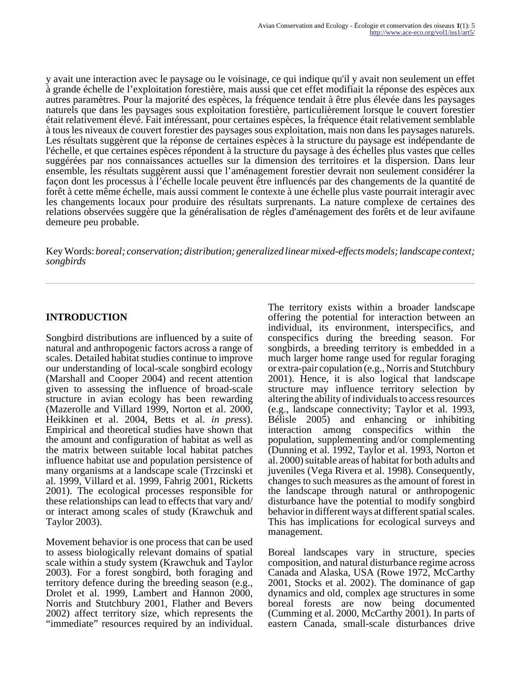y avait une interaction avec le paysage ou le voisinage, ce qui indique qu'il y avait non seulement un effet à grande échelle de l'exploitation forestière, mais aussi que cet effet modifiait la réponse des espèces aux autres paramètres. Pour la majorité des espèces, la fréquence tendait à être plus élevée dans les paysages naturels que dans les paysages sous exploitation forestière, particulièrement lorsque le couvert forestier était relativement élevé. Fait intéressant, pour certaines espèces, la fréquence était relativement semblable à tous les niveaux de couvert forestier des paysages sous exploitation, mais non dans les paysages naturels. Les résultats suggèrent que la réponse de certaines espèces à la structure du paysage est indépendante de l'échelle, et que certaines espèces répondent à la structure du paysage à des échelles plus vastes que celles suggérées par nos connaissances actuelles sur la dimension des territoires et la dispersion. Dans leur ensemble, les résultats suggèrent aussi que l'aménagement forestier devrait non seulement considérer la façon dont les processus à l'échelle locale peuvent être influencés par des changements de la quantité de forêt à cette même échelle, mais aussi comment le contexte à une échelle plus vaste pourrait interagir avec les changements locaux pour produire des résultats surprenants. La nature complexe de certaines des relations observées suggère que la généralisation de règles d'aménagement des forêts et de leur avifaune demeure peu probable.

Key Words: *boreal; conservation; distribution; generalized linear mixed-effects models; landscape context; songbirds*

## **INTRODUCTION**

Songbird distributions are influenced by a suite of natural and anthropogenic factors across a range of scales. Detailed habitat studies continue to improve our understanding of local-scale songbird ecology (Marshall and Cooper 2004) and recent attention given to assessing the influence of broad-scale structure in avian ecology has been rewarding (Mazerolle and Villard 1999, Norton et al. 2000, Heikkinen et al. 2004, Betts et al. *in press*). Empirical and theoretical studies have shown that the amount and configuration of habitat as well as the matrix between suitable local habitat patches influence habitat use and population persistence of many organisms at a landscape scale (Trzcinski et al. 1999, Villard et al. 1999, Fahrig 2001, Ricketts 2001). The ecological processes responsible for these relationships can lead to effects that vary and/ or interact among scales of study (Krawchuk and Taylor 2003).

Movement behavior is one process that can be used to assess biologically relevant domains of spatial scale within a study system (Krawchuk and Taylor 2003). For a forest songbird, both foraging and territory defence during the breeding season (e.g., Drolet et al. 1999, Lambert and Hannon 2000, Norris and Stutchbury 2001, Flather and Bevers 2002) affect territory size, which represents the "immediate" resources required by an individual.

The territory exists within a broader landscape offering the potential for interaction between an individual, its environment, interspecifics, and conspecifics during the breeding season. For songbirds, a breeding territory is embedded in a much larger home range used for regular foraging or extra-pair copulation (e.g., Norris and Stutchbury 2001). Hence, it is also logical that landscape structure may influence territory selection by altering the ability of individuals to access resources (e.g., landscape connectivity; Taylor et al. 1993, Bélisle 2005) and enhancing or inhibiting interaction among conspecifics within the population, supplementing and/or complementing (Dunning et al. 1992, Taylor et al. 1993, Norton et al. 2000) suitable areas of habitat for both adults and juveniles (Vega Rivera et al. 1998). Consequently, changes to such measures as the amount of forest in the landscape through natural or anthropogenic disturbance have the potential to modify songbird behavior in different ways at different spatial scales. This has implications for ecological surveys and management.

Boreal landscapes vary in structure, species composition, and natural disturbance regime across Canada and Alaska, USA (Rowe 1972, McCarthy 2001, Stocks et al. 2002). The dominance of gap dynamics and old, complex age structures in some boreal forests are now being documented (Cumming et al. 2000, McCarthy 2001). In parts of eastern Canada, small-scale disturbances drive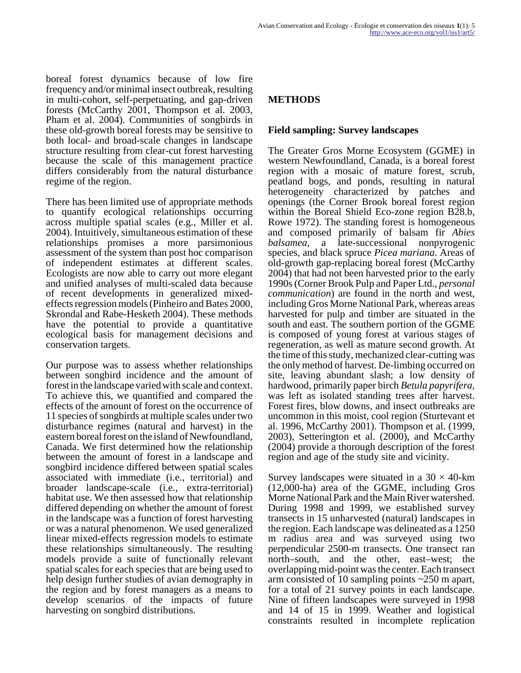boreal forest dynamics because of low fire frequency and/or minimal insect outbreak, resulting in multi-cohort, self-perpetuating, and gap-driven forests (McCarthy 2001, Thompson et al. 2003, Pham et al. 2004). Communities of songbirds in these old-growth boreal forests may be sensitive to both local- and broad-scale changes in landscape structure resulting from clear-cut forest harvesting because the scale of this management practice differs considerably from the natural disturbance regime of the region.

There has been limited use of appropriate methods to quantify ecological relationships occurring across multiple spatial scales (e.g., Miller et al. 2004). Intuitively, simultaneous estimation of these relationships promises a more parsimonious assessment of the system than post hoc comparison of independent estimates at different scales. Ecologists are now able to carry out more elegant and unified analyses of multi-scaled data because of recent developments in generalized mixedeffects regression models (Pinheiro and Bates 2000, Skrondal and Rabe-Hesketh 2004). These methods have the potential to provide a quantitative ecological basis for management decisions and conservation targets.

Our purpose was to assess whether relationships between songbird incidence and the amount of forest in the landscape varied with scale and context. To achieve this, we quantified and compared the effects of the amount of forest on the occurrence of 11 species of songbirds at multiple scales under two disturbance regimes (natural and harvest) in the eastern boreal forest on the island of Newfoundland, Canada. We first determined how the relationship between the amount of forest in a landscape and songbird incidence differed between spatial scales associated with immediate (i.e., territorial) and broader landscape-scale (i.e., extra-territorial) habitat use. We then assessed how that relationship differed depending on whether the amount of forest in the landscape was a function of forest harvesting or was a natural phenomenon. We used generalized linear mixed-effects regression models to estimate these relationships simultaneously. The resulting models provide a suite of functionally relevant spatial scales for each species that are being used to help design further studies of avian demography in the region and by forest managers as a means to develop scenarios of the impacts of future harvesting on songbird distributions.

## **METHODS**

#### **Field sampling: Survey landscapes**

The Greater Gros Morne Ecosystem (GGME) in western Newfoundland, Canada, is a boreal forest region with a mosaic of mature forest, scrub, peatland bogs, and ponds, resulting in natural heterogeneity characterized by patches and openings (the Corner Brook boreal forest region within the Boreal Shield Eco-zone region B28.b, Rowe 1972). The standing forest is homogeneous and composed primarily of balsam fir *Abies balsamea*, a late-successional nonpyrogenic species, and black spruce *Picea mariana*. Areas of old-growth gap-replacing boreal forest (McCarthy 2004) that had not been harvested prior to the early 1990s (Corner Brook Pulp and Paper Ltd., *personal communication*) are found in the north and west, including Gros Morne National Park, whereas areas harvested for pulp and timber are situated in the south and east. The southern portion of the GGME is composed of young forest at various stages of regeneration, as well as mature second growth. At the time of this study, mechanized clear-cutting was the only method of harvest. De-limbing occurred on site, leaving abundant slash; a low density of hardwood, primarily paper birch *Betula papyrifera*, was left as isolated standing trees after harvest. Forest fires, blow downs, and insect outbreaks are uncommon in this moist, cool region (Sturtevant et al. 1996, McCarthy 2001). Thompson et al. (1999, 2003), Setterington et al. (2000), and McCarthy (2004) provide a thorough description of the forest region and age of the study site and vicinity.

Survey landscapes were situated in a  $30 \times 40$ -km (12,000-ha) area of the GGME, including Gros Morne National Park and the Main River watershed. During 1998 and 1999, we established survey transects in 15 unharvested (natural) landscapes in the region. Each landscape was delineated as a 1250 m radius area and was surveyed using two perpendicular 2500-m transects. One transect ran north–south, and the other, east–west; the overlapping mid-point was the center. Each transect arm consisted of 10 sampling points ~250 m apart, for a total of 21 survey points in each landscape. Nine of fifteen landscapes were surveyed in 1998 and 14 of 15 in 1999. Weather and logistical constraints resulted in incomplete replication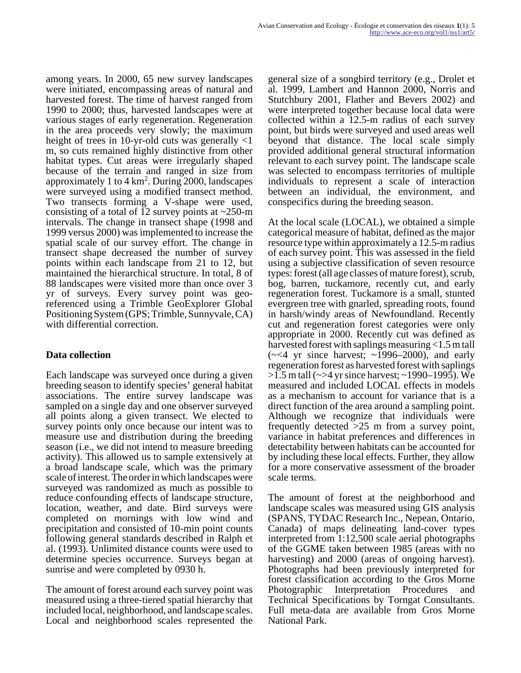among years. In 2000, 65 new survey landscapes were initiated, encompassing areas of natural and harvested forest. The time of harvest ranged from 1990 to 2000; thus, harvested landscapes were at various stages of early regeneration. Regeneration in the area proceeds very slowly; the maximum height of trees in 10-yr-old cuts was generally  $\langle 1 \rangle$ m, so cuts remained highly distinctive from other habitat types. Cut areas were irregularly shaped because of the terrain and ranged in size from approximately 1 to  $4 \text{ km}^2$ . During 2000, landscapes were surveyed using a modified transect method. Two transects forming a V-shape were used, consisting of a total of 12 survey points at  $\sim$ 250-m intervals. The change in transect shape (1998 and 1999 versus 2000) was implemented to increase the spatial scale of our survey effort. The change in transect shape decreased the number of survey points within each landscape from 21 to 12, but maintained the hierarchical structure. In total, 8 of 88 landscapes were visited more than once over 3 yr of surveys. Every survey point was georeferenced using a Trimble GeoExplorer Global Positioning System (GPS; Trimble, Sunnyvale, CA) with differential correction.

## **Data collection**

Each landscape was surveyed once during a given breeding season to identify species' general habitat associations. The entire survey landscape was sampled on a single day and one observer surveyed all points along a given transect. We elected to survey points only once because our intent was to measure use and distribution during the breeding season (i.e., we did not intend to measure breeding activity). This allowed us to sample extensively at a broad landscape scale, which was the primary scale of interest. The order in which landscapes were surveyed was randomized as much as possible to reduce confounding effects of landscape structure, location, weather, and date. Bird surveys were completed on mornings with low wind and precipitation and consisted of 10-min point counts following general standards described in Ralph et al. (1993). Unlimited distance counts were used to determine species occurrence. Surveys began at sunrise and were completed by 0930 h.

The amount of forest around each survey point was measured using a three-tiered spatial hierarchy that included local, neighborhood, and landscape scales. Local and neighborhood scales represented the general size of a songbird territory (e.g., Drolet et al. 1999, Lambert and Hannon 2000, Norris and Stutchbury 2001, Flather and Bevers 2002) and were interpreted together because local data were collected within a 12.5-m radius of each survey point, but birds were surveyed and used areas well beyond that distance. The local scale simply provided additional general structural information relevant to each survey point. The landscape scale was selected to encompass territories of multiple individuals to represent a scale of interaction between an individual, the environment, and conspecifics during the breeding season.

At the local scale (LOCAL), we obtained a simple categorical measure of habitat, defined as the major resource type within approximately a 12.5-m radius of each survey point. This was assessed in the field using a subjective classification of seven resource types: forest (all age classes of mature forest), scrub, bog, barren, tuckamore, recently cut, and early regeneration forest. Tuckamore is a small, stunted evergreen tree with gnarled, spreading roots, found in harsh/windy areas of Newfoundland. Recently cut and regeneration forest categories were only appropriate in 2000. Recently cut was defined as harvested forest with saplings measuring <1.5 m tall  $(\sim 4$  yr since harvest;  $\sim 1996-2000$ , and early regeneration forest as harvested forest with saplings >1.5 m tall (~>4 yr since harvest; ~1990–1995). We measured and included LOCAL effects in models as a mechanism to account for variance that is a direct function of the area around a sampling point. Although we recognize that individuals were frequently detected >25 m from a survey point, variance in habitat preferences and differences in detectability between habitats can be accounted for by including these local effects. Further, they allow for a more conservative assessment of the broader scale terms.

The amount of forest at the neighborhood and landscape scales was measured using GIS analysis (SPANS, TYDAC Research Inc., Nepean, Ontario, Canada) of maps delineating land-cover types interpreted from 1:12,500 scale aerial photographs of the GGME taken between 1985 (areas with no harvesting) and 2000 (areas of ongoing harvest). Photographs had been previously interpreted for forest classification according to the Gros Morne Photographic Interpretation Procedures and Technical Specifications by Torngat Consultants. Full meta-data are available from Gros Morne National Park.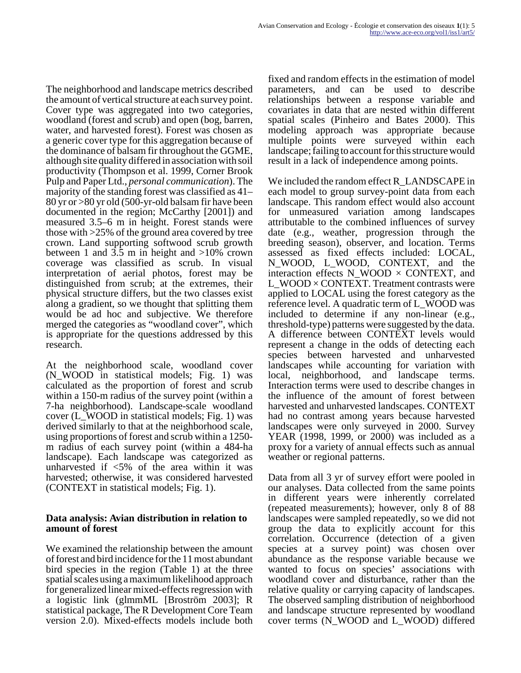The neighborhood and landscape metrics described the amount of vertical structure at each survey point. Cover type was aggregated into two categories, woodland (forest and scrub) and open (bog, barren, water, and harvested forest). Forest was chosen as a generic cover type for this aggregation because of the dominance of balsam fir throughout the GGME, although site quality differed in association with soil productivity (Thompson et al. 1999, Corner Brook Pulp and Paper Ltd., *personal communication*). The majority of the standing forest was classified as 41– 80 yr or >80 yr old (500-yr-old balsam fir have been documented in the region; McCarthy [2001]) and measured 3.5–6 m in height. Forest stands were those with >25% of the ground area covered by tree crown. Land supporting softwood scrub growth between 1 and 3.5 m in height and  $>10\%$  crown coverage was classified as scrub. In visual interpretation of aerial photos, forest may be distinguished from scrub; at the extremes, their physical structure differs, but the two classes exist along a gradient, so we thought that splitting them would be ad hoc and subjective. We therefore merged the categories as "woodland cover", which is appropriate for the questions addressed by this research.

At the neighborhood scale, woodland cover (N\_WOOD in statistical models; Fig. 1) was calculated as the proportion of forest and scrub within a 150-m radius of the survey point (within a 7-ha neighborhood). Landscape-scale woodland cover (L\_WOOD in statistical models; Fig. 1) was derived similarly to that at the neighborhood scale, using proportions of forest and scrub within a 1250 m radius of each survey point (within a 484-ha landscape). Each landscape was categorized as unharvested if  $\langle 5\%$  of the area within it was harvested; otherwise, it was considered harvested (CONTEXT in statistical models; Fig. 1).

#### **Data analysis: Avian distribution in relation to amount of forest**

We examined the relationship between the amount of forest and bird incidence for the 11 most abundant bird species in the region (Table 1) at the three spatial scales using a maximum likelihood approach for generalized linear mixed-effects regression with a logistic link (glmmML [Broström 2003]; R statistical package, The R Development Core Team version 2.0). Mixed-effects models include both fixed and random effects in the estimation of model parameters, and can be used to describe relationships between a response variable and covariates in data that are nested within different spatial scales (Pinheiro and Bates 2000). This modeling approach was appropriate because multiple points were surveyed within each landscape; failing to account for this structure would result in a lack of independence among points.

We included the random effect R\_LANDSCAPE in each model to group survey-point data from each landscape. This random effect would also account for unmeasured variation among landscapes attributable to the combined influences of survey date (e.g., weather, progression through the breeding season), observer, and location. Terms assessed as fixed effects included: LOCAL, N\_WOOD, L\_WOOD, CONTEXT, and the interaction effects  $N_WOOD \times CONTEXT$ , and L\_WOOD × CONTEXT. Treatment contrasts were applied to LOCAL using the forest category as the reference level. A quadratic term of L\_WOOD was included to determine if any non-linear (e.g., threshold-type) patterns were suggested by the data. A difference between CONTEXT levels would represent a change in the odds of detecting each species between harvested and unharvested landscapes while accounting for variation with local, neighborhood, and landscape terms. Interaction terms were used to describe changes in the influence of the amount of forest between harvested and unharvested landscapes. CONTEXT had no contrast among years because harvested landscapes were only surveyed in 2000. Survey YEAR (1998, 1999, or 2000) was included as a proxy for a variety of annual effects such as annual weather or regional patterns.

Data from all 3 yr of survey effort were pooled in our analyses. Data collected from the same points in different years were inherently correlated (repeated measurements); however, only 8 of 88 landscapes were sampled repeatedly, so we did not group the data to explicitly account for this correlation. Occurrence (detection of a given species at a survey point) was chosen over abundance as the response variable because we wanted to focus on species' associations with woodland cover and disturbance, rather than the relative quality or carrying capacity of landscapes. The observed sampling distribution of neighborhood and landscape structure represented by woodland cover terms (N\_WOOD and L\_WOOD) differed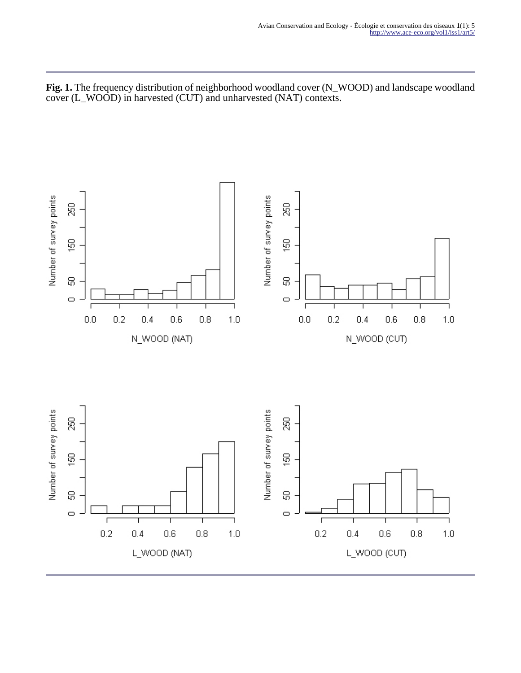**Fig. 1.** The frequency distribution of neighborhood woodland cover (N\_WOOD) and landscape woodland cover (L\_WOOD) in harvested (CUT) and unharvested (NAT) contexts.

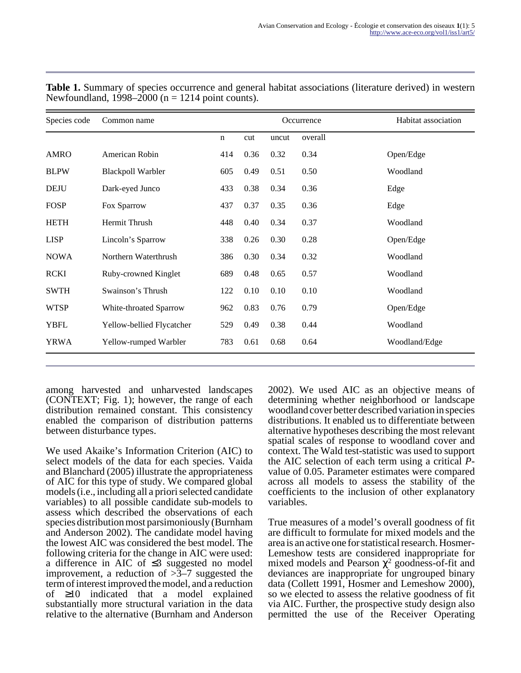| Species code | Common name               |             | Occurrence |       |         | Habitat association |
|--------------|---------------------------|-------------|------------|-------|---------|---------------------|
|              |                           | $\mathbf n$ | cut        | uncut | overall |                     |
| <b>AMRO</b>  | American Robin            | 414         | 0.36       | 0.32  | 0.34    | Open/Edge           |
| <b>BLPW</b>  | <b>Blackpoll Warbler</b>  | 605         | 0.49       | 0.51  | 0.50    | Woodland            |
| <b>DEJU</b>  | Dark-eyed Junco           | 433         | 0.38       | 0.34  | 0.36    | Edge                |
| <b>FOSP</b>  | Fox Sparrow               | 437         | 0.37       | 0.35  | 0.36    | Edge                |
| <b>HETH</b>  | Hermit Thrush             | 448         | 0.40       | 0.34  | 0.37    | Woodland            |
| <b>LISP</b>  | Lincoln's Sparrow         | 338         | 0.26       | 0.30  | 0.28    | Open/Edge           |
| <b>NOWA</b>  | Northern Waterthrush      | 386         | 0.30       | 0.34  | 0.32    | Woodland            |
| <b>RCKI</b>  | Ruby-crowned Kinglet      | 689         | 0.48       | 0.65  | 0.57    | Woodland            |
| <b>SWTH</b>  | Swainson's Thrush         | 122         | 0.10       | 0.10  | 0.10    | Woodland            |
| <b>WTSP</b>  | White-throated Sparrow    | 962         | 0.83       | 0.76  | 0.79    | Open/Edge           |
| <b>YBFL</b>  | Yellow-bellied Flycatcher | 529         | 0.49       | 0.38  | 0.44    | Woodland            |
| YRWA         | Yellow-rumped Warbler     | 783         | 0.61       | 0.68  | 0.64    | Woodland/Edge       |

**Table 1.** Summary of species occurrence and general habitat associations (literature derived) in western Newfoundland,  $1998-2000$  (n = 1214 point counts).

among harvested and unharvested landscapes (CONTEXT; Fig. 1); however, the range of each distribution remained constant. This consistency enabled the comparison of distribution patterns between disturbance types.

We used Akaike's Information Criterion (AIC) to select models of the data for each species. Vaida and Blanchard (2005) illustrate the appropriateness of AIC for this type of study. We compared global models (i.e., including all a priori selected candidate variables) to all possible candidate sub-models to assess which described the observations of each species distribution most parsimoniously (Burnham and Anderson 2002). The candidate model having the lowest AIC was considered the best model. The following criteria for the change in AIC were used: a difference in AIC of ≤3 suggested no model improvement, a reduction of  $>3-7$  suggested the term of interest improved the model, and a reduction of ≥10 indicated that a model explained substantially more structural variation in the data relative to the alternative (Burnham and Anderson

2002). We used AIC as an objective means of determining whether neighborhood or landscape woodland cover better described variation in species distributions. It enabled us to differentiate between alternative hypotheses describing the most relevant spatial scales of response to woodland cover and context. The Wald test-statistic was used to support the AIC selection of each term using a critical *P*value of 0.05. Parameter estimates were compared across all models to assess the stability of the coefficients to the inclusion of other explanatory variables.

True measures of a model's overall goodness of fit are difficult to formulate for mixed models and the area is an active one for statistical research. Hosmer-Lemeshow tests are considered inappropriate for mixed models and Pearson  $\chi^2$  goodness-of-fit and deviances are inappropriate for ungrouped binary data (Collett 1991, Hosmer and Lemeshow 2000), so we elected to assess the relative goodness of fit via AIC. Further, the prospective study design also permitted the use of the Receiver Operating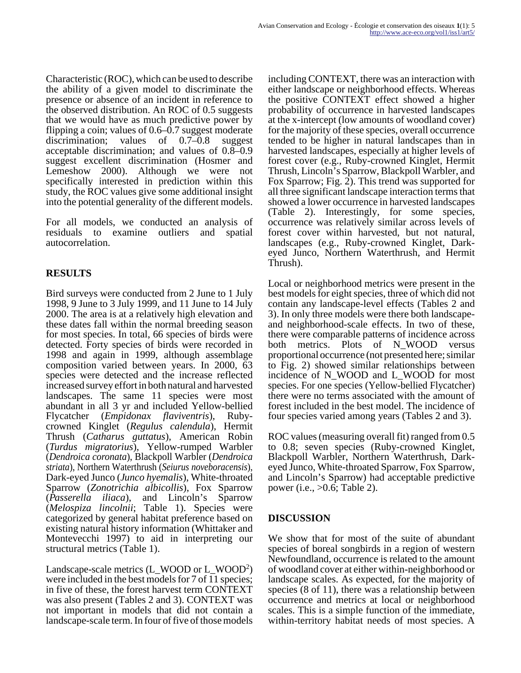Characteristic (ROC), which can be used to describe the ability of a given model to discriminate the presence or absence of an incident in reference to the observed distribution. An ROC of 0.5 suggests that we would have as much predictive power by flipping a coin; values of  $0.6-\overline{0.7}$  suggest moderate discrimination: values of 0.7–0.8 suggest acceptable discrimination; and values of 0.8–0.9 suggest excellent discrimination (Hosmer and Lemeshow 2000). Although we were not specifically interested in prediction within this study, the ROC values give some additional insight into the potential generality of the different models.

For all models, we conducted an analysis of residuals to examine outliers and spatial autocorrelation.

## **RESULTS**

Bird surveys were conducted from 2 June to 1 July 1998, 9 June to 3 July 1999, and 11 June to 14 July 2000. The area is at a relatively high elevation and these dates fall within the normal breeding season for most species. In total, 66 species of birds were detected. Forty species of birds were recorded in 1998 and again in 1999, although assemblage composition varied between years. In 2000, 63 species were detected and the increase reflected increased survey effort in both natural and harvested landscapes. The same 11 species were most abundant in all 3 yr and included Yellow-bellied Flycatcher (*Empidonax flaviventris*), Rubycrowned Kinglet (*Regulus calendula*), Hermit Thrush (*Catharus guttatus*), American Robin (*Turdus migratorius*), Yellow-rumped Warbler (*Dendroica coronata*), Blackpoll Warbler (*Dendroica striata*), Northern Waterthrush (*Seiurus noveboracensis*), Dark-eyed Junco (*Junco hyemalis*), White-throated Sparrow (*Zonotrichia albicollis*), Fox Sparrow (*Passerella iliaca*), and Lincoln's Sparrow (*Melospiza lincolnii*; Table 1). Species were categorized by general habitat preference based on existing natural history information (Whittaker and Montevecchi 1997) to aid in interpreting our structural metrics (Table 1).

Landscape-scale metrics (L\_WOOD or L\_WOOD<sup>2</sup> ) were included in the best models for 7 of 11 species; in five of these, the forest harvest term CONTEXT was also present (Tables 2 and 3). CONTEXT was not important in models that did not contain a landscape-scale term. In four of five of those models

including CONTEXT, there was an interaction with either landscape or neighborhood effects. Whereas the positive CONTEXT effect showed a higher probability of occurrence in harvested landscapes at the x-intercept (low amounts of woodland cover) for the majority of these species, overall occurrence tended to be higher in natural landscapes than in harvested landscapes, especially at higher levels of forest cover (e.g., Ruby-crowned Kinglet, Hermit Thrush, Lincoln's Sparrow, Blackpoll Warbler, and Fox Sparrow; Fig. 2). This trend was supported for all three significant landscape interaction terms that showed a lower occurrence in harvested landscapes (Table 2). Interestingly, for some species, occurrence was relatively similar across levels of forest cover within harvested, but not natural, landscapes (e.g., Ruby-crowned Kinglet, Darkeyed Junco, Northern Waterthrush, and Hermit Thrush).

Local or neighborhood metrics were present in the best models for eight species, three of which did not contain any landscape-level effects (Tables 2 and 3). In only three models were there both landscapeand neighborhood-scale effects. In two of these, there were comparable patterns of incidence across both metrics. Plots of N\_WOOD versus proportional occurrence (not presented here; similar to Fig. 2) showed similar relationships between incidence of N\_WOOD and L\_WOOD for most species. For one species (Yellow-bellied Flycatcher) there were no terms associated with the amount of forest included in the best model. The incidence of four species varied among years (Tables 2 and 3).

ROC values (measuring overall fit) ranged from 0.5 to 0.8; seven species (Ruby-crowned Kinglet, Blackpoll Warbler, Northern Waterthrush, Darkeyed Junco, White-throated Sparrow, Fox Sparrow, and Lincoln's Sparrow) had acceptable predictive power (i.e., >0.6; Table 2).

## **DISCUSSION**

We show that for most of the suite of abundant species of boreal songbirds in a region of western Newfoundland, occurrence is related to the amount of woodland cover at either within-neighborhood or landscape scales. As expected, for the majority of species (8 of 11), there was a relationship between occurrence and metrics at local or neighborhood scales. This is a simple function of the immediate, within-territory habitat needs of most species. A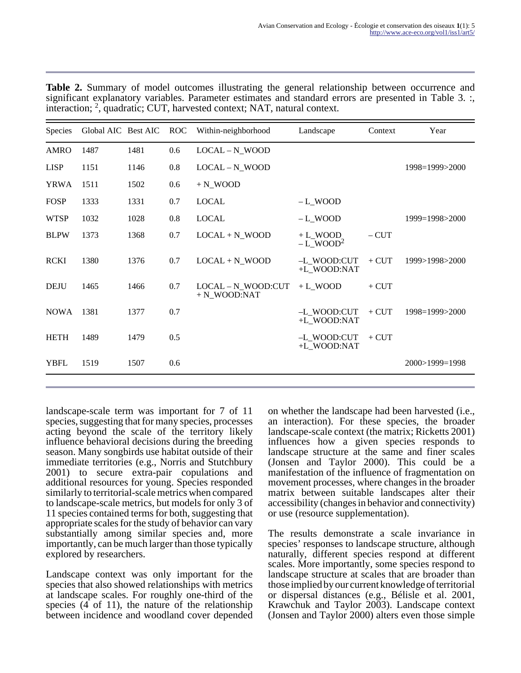| Species     | Global AIC Best AIC |      | <b>ROC</b> | Within-neighborhood                  | Landscape                            | Context | Year           |
|-------------|---------------------|------|------------|--------------------------------------|--------------------------------------|---------|----------------|
| AMRO        | 1487                | 1481 | 0.6        | LOCAL - N_WOOD                       |                                      |         |                |
| <b>LISP</b> | 1151                | 1146 | 0.8        | LOCAL - N_WOOD                       |                                      |         | 1998=1999>2000 |
| <b>YRWA</b> | 1511                | 1502 | 0.6        | $+ N_WOOD$                           |                                      |         |                |
| <b>FOSP</b> | 1333                | 1331 | 0.7        | <b>LOCAL</b>                         | $-L$ WOOD                            |         |                |
| <b>WTSP</b> | 1032                | 1028 | 0.8        | <b>LOCAL</b>                         | -L WOOD                              |         | 1999=1998>2000 |
| <b>BLPW</b> | 1373                | 1368 | 0.7        | $LOCAL + N_WOOD$                     | $+ L$ WOOD<br>$-L$ WOOD <sup>2</sup> | $-CUT$  |                |
| <b>RCKI</b> | 1380                | 1376 | 0.7        | $LOCAL + N_WOOD$                     | -L WOOD:CUT<br>+L WOOD:NAT           | $+$ CUT | 1999>1998>2000 |
| <b>DEJU</b> | 1465                | 1466 | 0.7        | LOCAL - N_WOOD:CUT<br>$+ N$ WOOD:NAT | $+ L$ WOOD                           | $+$ CUT |                |
| <b>NOWA</b> | 1381                | 1377 | 0.7        |                                      | -L WOOD:CUT<br>+L_WOOD:NAT           | $+$ CUT | 1998=1999>2000 |
| <b>HETH</b> | 1489                | 1479 | 0.5        |                                      | -L_WOOD:CUT<br>+L_WOOD:NAT           | $+$ CUT |                |
| <b>YBFL</b> | 1519                | 1507 | 0.6        |                                      |                                      |         | 2000>1999=1998 |

**Table 2.** Summary of model outcomes illustrating the general relationship between occurrence and significant explanatory variables. Parameter estimates and standard errors are presented in Table 3. :, interaction; <sup>2</sup> , quadratic; CUT, harvested context; NAT, natural context.

landscape-scale term was important for 7 of 11 species, suggesting that for many species, processes acting beyond the scale of the territory likely influence behavioral decisions during the breeding season. Many songbirds use habitat outside of their immediate territories (e.g., Norris and Stutchbury 2001) to secure extra-pair copulations and additional resources for young. Species responded similarly to territorial-scale metrics when compared to landscape-scale metrics, but models for only 3 of 11 species contained terms for both, suggesting that appropriate scales for the study of behavior can vary substantially among similar species and, more importantly, can be much larger than those typically explored by researchers.

Landscape context was only important for the species that also showed relationships with metrics at landscape scales. For roughly one-third of the species (4 of 11), the nature of the relationship between incidence and woodland cover depended on whether the landscape had been harvested (i.e., an interaction). For these species, the broader landscape-scale context (the matrix; Ricketts 2001) influences how a given species responds to landscape structure at the same and finer scales (Jonsen and Taylor 2000). This could be a manifestation of the influence of fragmentation on movement processes, where changes in the broader matrix between suitable landscapes alter their accessibility (changes in behavior and connectivity) or use (resource supplementation).

The results demonstrate a scale invariance in species' responses to landscape structure, although naturally, different species respond at different scales. More importantly, some species respond to landscape structure at scales that are broader than those implied by our current knowledge of territorial or dispersal distances (e.g., Bélisle et al. 2001, Krawchuk and Taylor 2003). Landscape context (Jonsen and Taylor 2000) alters even those simple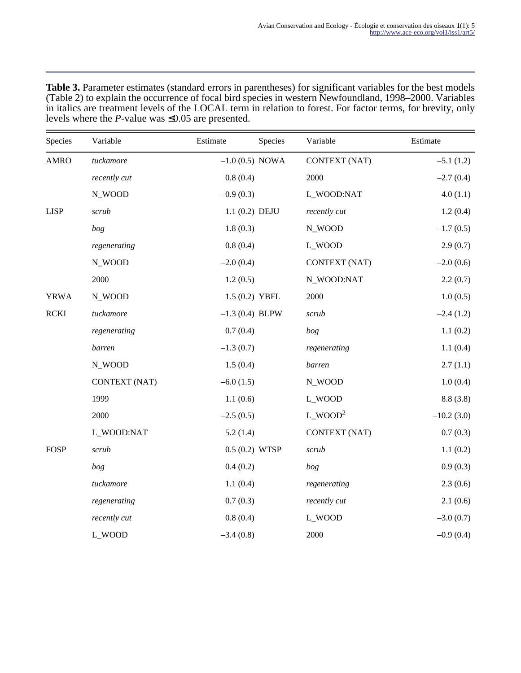| <b>Table 3.</b> Parameter estimates (standard errors in parentheses) for significant variables for the best models |
|--------------------------------------------------------------------------------------------------------------------|
| (Table 2) to explain the occurrence of focal bird species in western Newfoundland, 1998–2000. Variables            |
| in italics are treatment levels of the LOCAL term in relation to forest. For factor terms, for brevity, only       |
| levels where the <i>P</i> -value was $\leq 0.05$ are presented.                                                    |

| Species     | Variable             | Estimate          | Species | Variable              | Estimate     |
|-------------|----------------------|-------------------|---------|-----------------------|--------------|
| <b>AMRO</b> | tuckamore            | $-1.0$ (0.5) NOWA |         | <b>CONTEXT (NAT)</b>  | $-5.1(1.2)$  |
|             | recently cut         | 0.8(0.4)          |         | 2000                  | $-2.7(0.4)$  |
|             | N_WOOD               | $-0.9(0.3)$       |         | L_WOOD:NAT            | 4.0(1.1)     |
| <b>LISP</b> | scrub                | 1.1 (0.2) DEJU    |         | recently cut          | 1.2(0.4)     |
|             | bog                  | 1.8(0.3)          |         | N_WOOD                | $-1.7(0.5)$  |
|             | regenerating         | 0.8(0.4)          |         | L_WOOD                | 2.9(0.7)     |
|             | N_WOOD               | $-2.0(0.4)$       |         | CONTEXT (NAT)         | $-2.0(0.6)$  |
|             | 2000                 | 1.2(0.5)          |         | N_WOOD:NAT            | 2.2(0.7)     |
| <b>YRWA</b> | N_WOOD               | 1.5 (0.2) YBFL    |         | 2000                  | 1.0(0.5)     |
| <b>RCKI</b> | tuckamore            | $-1.3$ (0.4) BLPW |         | scrub                 | $-2.4(1.2)$  |
|             | regenerating         | 0.7(0.4)          |         | bog                   | 1.1(0.2)     |
|             | barren               | $-1.3(0.7)$       |         | regenerating          | 1.1(0.4)     |
|             | N_WOOD               | 1.5(0.4)          |         | barren                | 2.7(1.1)     |
|             | <b>CONTEXT (NAT)</b> | $-6.0(1.5)$       |         | N_WOOD                | 1.0(0.4)     |
|             | 1999                 | 1.1(0.6)          |         | L_WOOD                | 8.8(3.8)     |
|             | 2000                 | $-2.5(0.5)$       |         | $L$ WOOD <sup>2</sup> | $-10.2(3.0)$ |
|             | L_WOOD:NAT           | 5.2(1.4)          |         | <b>CONTEXT (NAT)</b>  | 0.7(0.3)     |
| <b>FOSP</b> | scrub                | $0.5(0.2)$ WTSP   |         | scrub                 | 1.1(0.2)     |
|             | bog                  | 0.4(0.2)          |         | bog                   | 0.9(0.3)     |
|             | tuckamore            | 1.1(0.4)          |         | regenerating          | 2.3(0.6)     |
|             | regenerating         | 0.7(0.3)          |         | recently cut          | 2.1(0.6)     |
|             | recently cut         | 0.8(0.4)          |         | L_WOOD                | $-3.0(0.7)$  |
|             | L_WOOD               | $-3.4(0.8)$       |         | 2000                  | $-0.9(0.4)$  |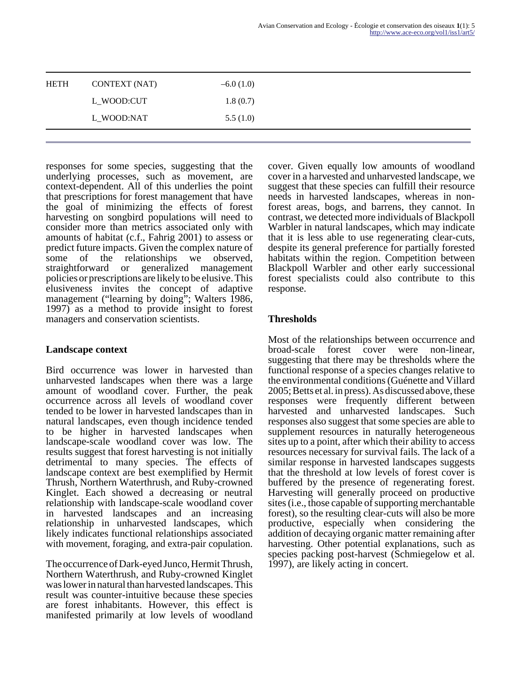responses for some species, suggesting that the underlying processes, such as movement, are context-dependent. All of this underlies the point that prescriptions for forest management that have the goal of minimizing the effects of forest harvesting on songbird populations will need to consider more than metrics associated only with amounts of habitat (c.f., Fahrig 2001) to assess or predict future impacts. Given the complex nature of some of the relationships we observed, straightforward or generalized management policies or prescriptions are likely to be elusive. This elusiveness invites the concept of adaptive management ("learning by doing"; Walters 1986, 1997) as a method to provide insight to forest managers and conservation scientists.

#### **Landscape context**

Bird occurrence was lower in harvested than unharvested landscapes when there was a large amount of woodland cover. Further, the peak occurrence across all levels of woodland cover tended to be lower in harvested landscapes than in natural landscapes, even though incidence tended to be higher in harvested landscapes when landscape-scale woodland cover was low. The results suggest that forest harvesting is not initially detrimental to many species. The effects of landscape context are best exemplified by Hermit Thrush, Northern Waterthrush, and Ruby-crowned Kinglet. Each showed a decreasing or neutral relationship with landscape-scale woodland cover in harvested landscapes and an increasing relationship in unharvested landscapes, which likely indicates functional relationships associated with movement, foraging, and extra-pair copulation.

The occurrence of Dark-eyed Junco, Hermit Thrush, Northern Waterthrush, and Ruby-crowned Kinglet was lower in natural than harvested landscapes. This result was counter-intuitive because these species are forest inhabitants. However, this effect is manifested primarily at low levels of woodland cover. Given equally low amounts of woodland cover in a harvested and unharvested landscape, we suggest that these species can fulfill their resource needs in harvested landscapes, whereas in nonforest areas, bogs, and barrens, they cannot. In contrast, we detected more individuals of Blackpoll Warbler in natural landscapes, which may indicate that it is less able to use regenerating clear-cuts, despite its general preference for partially forested habitats within the region. Competition between Blackpoll Warbler and other early successional forest specialists could also contribute to this response.

## **Thresholds**

Most of the relationships between occurrence and broad-scale forest cover were non-linear, suggesting that there may be thresholds where the functional response of a species changes relative to the environmental conditions (Guénette and Villard 2005; Betts et al. in press). As discussed above, these responses were frequently different between harvested and unharvested landscapes. Such responses also suggest that some species are able to supplement resources in naturally heterogeneous sites up to a point, after which their ability to access resources necessary for survival fails. The lack of a similar response in harvested landscapes suggests that the threshold at low levels of forest cover is buffered by the presence of regenerating forest. Harvesting will generally proceed on productive sites (i.e., those capable of supporting merchantable forest), so the resulting clear-cuts will also be more productive, especially when considering the addition of decaying organic matter remaining after harvesting. Other potential explanations, such as species packing post-harvest (Schmiegelow et al. 1997), are likely acting in concert.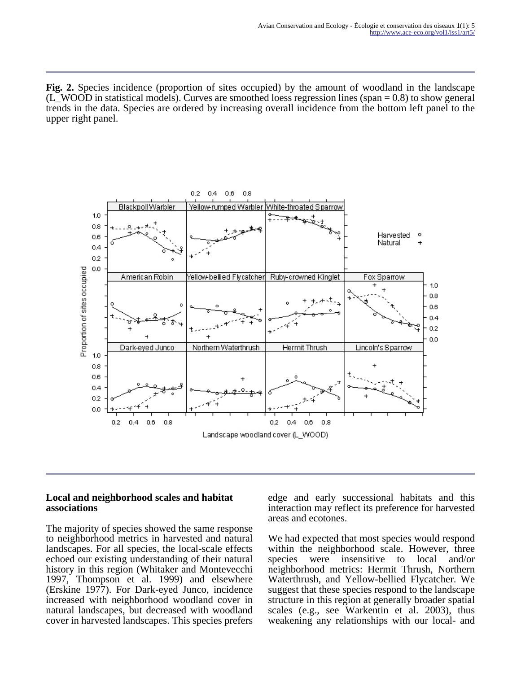**Fig. 2.** Species incidence (proportion of sites occupied) by the amount of woodland in the landscape (L\_WOOD in statistical models). Curves are smoothed loess regression lines (span = 0.8) to show general trends in the data. Species are ordered by increasing overall incidence from the bottom left panel to the upper right panel.



#### **Local and neighborhood scales and habitat associations**

The majority of species showed the same response to neighborhood metrics in harvested and natural landscapes. For all species, the local-scale effects echoed our existing understanding of their natural history in this region (Whitaker and Montevecchi 1997, Thompson et al. 1999) and elsewhere (Erskine 1977). For Dark-eyed Junco, incidence increased with neighborhood woodland cover in natural landscapes, but decreased with woodland cover in harvested landscapes. This species prefers

edge and early successional habitats and this interaction may reflect its preference for harvested areas and ecotones.

We had expected that most species would respond within the neighborhood scale. However, three species were insensitive to local and/or neighborhood metrics: Hermit Thrush, Northern Waterthrush, and Yellow-bellied Flycatcher. We suggest that these species respond to the landscape structure in this region at generally broader spatial scales (e.g., see Warkentin et al. 2003), thus weakening any relationships with our local- and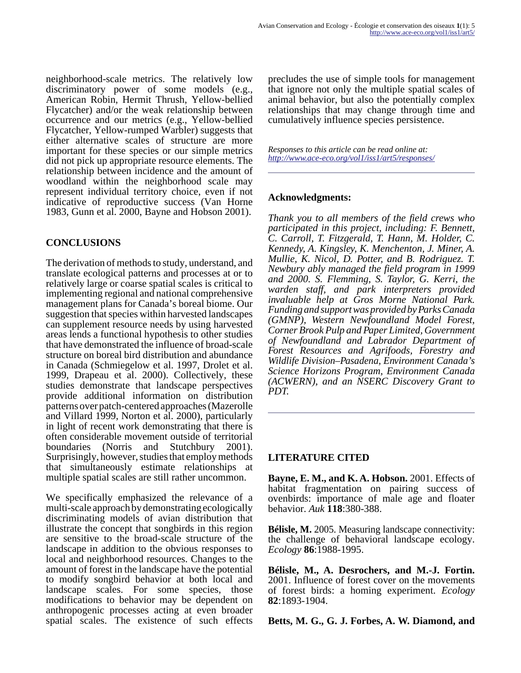neighborhood-scale metrics. The relatively low discriminatory power of some models (e.g., American Robin, Hermit Thrush, Yellow-bellied Flycatcher) and/or the weak relationship between occurrence and our metrics (e.g., Yellow-bellied Flycatcher, Yellow-rumped Warbler) suggests that either alternative scales of structure are more important for these species or our simple metrics did not pick up appropriate resource elements. The relationship between incidence and the amount of woodland within the neighborhood scale may represent individual territory choice, even if not indicative of reproductive success (Van Horne 1983, Gunn et al. 2000, Bayne and Hobson 2001).

### **CONCLUSIONS**

The derivation of methods to study, understand, and translate ecological patterns and processes at or to relatively large or coarse spatial scales is critical to implementing regional and national comprehensive management plans for Canada's boreal biome. Our suggestion that species within harvested landscapes can supplement resource needs by using harvested areas lends a functional hypothesis to other studies that have demonstrated the influence of broad-scale structure on boreal bird distribution and abundance in Canada (Schmiegelow et al. 1997, Drolet et al. 1999, Drapeau et al. 2000). Collectively, these studies demonstrate that landscape perspectives provide additional information on distribution patterns over patch-centered approaches (Mazerolle and Villard 1999, Norton et al. 2000), particularly in light of recent work demonstrating that there is often considerable movement outside of territorial boundaries (Norris and Stutchbury 2001). Surprisingly, however, studies that employ methods that simultaneously estimate relationships at multiple spatial scales are still rather uncommon.

We specifically emphasized the relevance of a multi-scale approach by demonstrating ecologically discriminating models of avian distribution that illustrate the concept that songbirds in this region are sensitive to the broad-scale structure of the landscape in addition to the obvious responses to local and neighborhood resources. Changes to the amount of forest in the landscape have the potential to modify songbird behavior at both local and landscape scales. For some species, those modifications to behavior may be dependent on anthropogenic processes acting at even broader spatial scales. The existence of such effects

precludes the use of simple tools for management that ignore not only the multiple spatial scales of animal behavior, but also the potentially complex relationships that may change through time and cumulatively influence species persistence.

*Responses to this article can be read online at: <http://www.ace-eco.org/vol1/iss1/art5/responses/>*

#### **Acknowledgments:**

*Thank you to all members of the field crews who participated in this project, including: F. Bennett, C. Carroll, T. Fitzgerald, T. Hann, M. Holder, C. Kennedy, A. Kingsley, K. Menchenton, J. Miner, A. Mullie, K. Nicol, D. Potter, and B. Rodriguez. T. Newbury ably managed the field program in 1999 and 2000. S. Flemming, S. Taylor, G. Kerri, the warden staff, and park interpreters provided invaluable help at Gros Morne National Park. Funding and support was provided by Parks Canada (GMNP), Western Newfoundland Model Forest, Corner Brook Pulp and Paper Limited, Government of Newfoundland and Labrador Department of Forest Resources and Agrifoods, Forestry and Wildlife Division–Pasadena, Environment Canada's Science Horizons Program, Environment Canada (ACWERN), and an NSERC Discovery Grant to PDT.*

#### **LITERATURE CITED**

**Bayne, E. M., and K. A. Hobson.** 2001. Effects of habitat fragmentation on pairing success of ovenbirds: importance of male age and floater behavior. *Auk* **118**:380-388.

**Bélisle, M.** 2005. Measuring landscape connectivity: the challenge of behavioral landscape ecology. *Ecology* **86**:1988-1995.

**Bélisle, M., A. Desrochers, and M.-J. Fortin.** 2001. Influence of forest cover on the movements of forest birds: a homing experiment. *Ecology* **82**:1893-1904.

**Betts, M. G., G. J. Forbes, A. W. Diamond, and**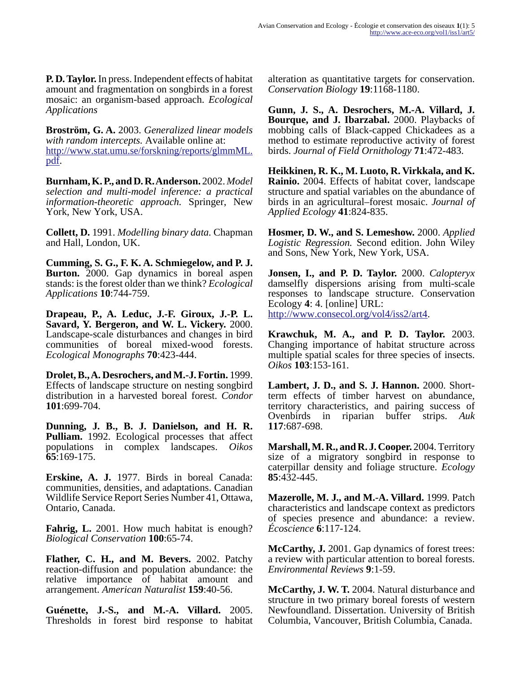**P. D. Taylor.** In press. Independent effects of habitat amount and fragmentation on songbirds in a forest mosaic: an organism-based approach. *Ecological Applications*

**Broström, G. A.** 2003. *Generalized linear models with random intercepts.* Available online at: [http://www.stat.umu.se/forskning/reports/glmmML.](http://www.stat.umu.se/forskning/reports/glmmML.pdf) pdf.

**Burnham, K. P., and D. R. Anderson.** 2002. *Model selection and multi-model inference: a practical information-theoretic approach.* Springer, New York, New York, USA.

**Collett, D.** 1991. *Modelling binary data.* Chapman and Hall, London, UK.

**Cumming, S. G., F. K. A. Schmiegelow, and P. J. Burton.** 2000. Gap dynamics in boreal aspen stands: is the forest older than we think? *Ecological Applications* **10**:744-759.

**Drapeau, P., A. Leduc, J.-F. Giroux, J.-P. L. Savard, Y. Bergeron, and W. L. Vickery.** 2000. Landscape-scale disturbances and changes in bird communities of boreal mixed-wood forests. *Ecological Monographs* **70**:423-444.

**Drolet, B., A. Desrochers, and M.-J. Fortin.** 1999. Effects of landscape structure on nesting songbird distribution in a harvested boreal forest. *Condor* **101**:699-704.

**Dunning, J. B., B. J. Danielson, and H. R. Pulliam.** 1992. Ecological processes that affect populations in complex landscapes. *Oikos* **65**:169-175.

**Erskine, A. J.** 1977. Birds in boreal Canada: communities, densities, and adaptations. Canadian Wildlife Service Report Series Number 41, Ottawa, Ontario, Canada.

**Fahrig, L.** 2001. How much habitat is enough? *Biological Conservation* **100**:65-74.

**Flather, C. H., and M. Bevers.** 2002. Patchy reaction-diffusion and population abundance: the relative importance of habitat amount and arrangement. *American Naturalist* **159**:40-56.

**Guénette, J.-S., and M.-A. Villard.** 2005. Thresholds in forest bird response to habitat alteration as quantitative targets for conservation. *Conservation Biology* **19**:1168-1180.

**Gunn, J. S., A. Desrochers, M.-A. Villard, J. Bourque, and J. Ibarzabal.** 2000. Playbacks of mobbing calls of Black-capped Chickadees as a method to estimate reproductive activity of forest birds. *Journal of Field Ornithology* **71**:472-483.

**Heikkinen, R. K., M. Luoto, R. Virkkala, and K. Rainio.** 2004. Effects of habitat cover, landscape structure and spatial variables on the abundance of birds in an agricultural–forest mosaic. *Journal of Applied Ecology* **41**:824-835.

**Hosmer, D. W., and S. Lemeshow.** 2000. *Applied Logistic Regression.* Second edition. John Wiley and Sons, New York, New York, USA.

**Jonsen, I., and P. D. Taylor.** 2000. *Calopteryx* damselfly dispersions arising from multi-scale responses to landscape structure. Conservation Ecology **4**: 4. [online] URL: [http://www.consecol.org/vol4/iss2/art4.](http://www.consecol.org/vol4/iss2/art4)

**Krawchuk, M. A., and P. D. Taylor.** 2003. Changing importance of habitat structure across multiple spatial scales for three species of insects.

*Oikos* **103**:153-161.

**Lambert, J. D., and S. J. Hannon.** 2000. Shortterm effects of timber harvest on abundance, territory characteristics, and pairing success of Ovenbirds in riparian buffer strips. *Auk* **117**:687-698.

**Marshall, M. R., and R. J. Cooper.** 2004. Territory size of a migratory songbird in response to caterpillar density and foliage structure. *Ecology* **85**:432-445.

**Mazerolle, M. J., and M.-A. Villard.** 1999. Patch characteristics and landscape context as predictors of species presence and abundance: a review. *Écoscience* **6**:117-124.

**McCarthy, J.** 2001. Gap dynamics of forest trees: a review with particular attention to boreal forests. *Environmental Reviews* **9**:1-59.

**McCarthy, J. W. T.** 2004. Natural disturbance and structure in two primary boreal forests of western Newfoundland. Dissertation. University of British Columbia, Vancouver, British Columbia, Canada.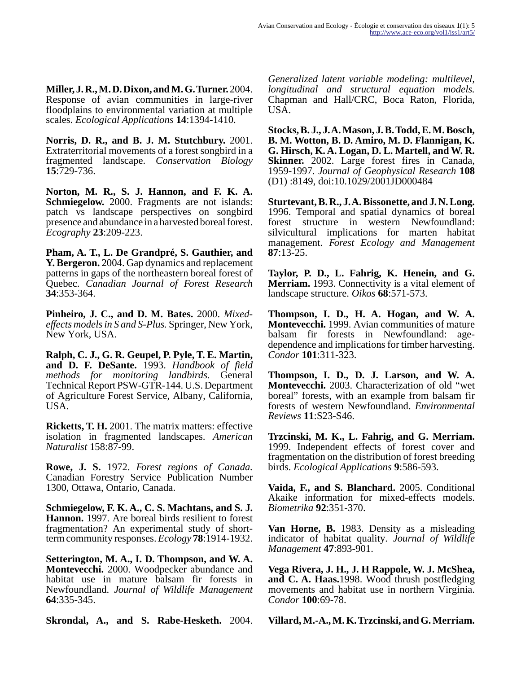**Miller, J. R., M. D. Dixon, and M. G. Turner.** 2004. Response of avian communities in large-river floodplains to environmental variation at multiple scales. *Ecological Applications* **14**:1394-1410.

**Norris, D. R., and B. J. M. Stutchbury.** 2001. Extraterritorial movements of a forest songbird in a fragmented landscape. *Conservation Biology* **15**:729-736.

**Norton, M. R., S. J. Hannon, and F. K. A. Schmiegelow.** 2000. Fragments are not islands: patch vs landscape perspectives on songbird presence and abundance in a harvested boreal forest. *Ecography* **23**:209-223.

**Pham, A. T., L. De Grandpré, S. Gauthier, and Y. Bergeron.** 2004. Gap dynamics and replacement patterns in gaps of the northeastern boreal forest of Quebec. *Canadian Journal of Forest Research* **34**:353-364.

**Pinheiro, J. C., and D. M. Bates.** 2000. *Mixedeffects models in S and S-Plus.* Springer, New York, New York, USA.

**Ralph, C. J., G. R. Geupel, P. Pyle, T. E. Martin, and D. F. DeSante.** 1993. *Handbook of field methods for monitoring landbirds.* General Technical Report PSW-GTR-144. U.S. Department of Agriculture Forest Service, Albany, California, USA.

**Ricketts, T. H.** 2001. The matrix matters: effective isolation in fragmented landscapes. *American Naturalist* 158:87-99.

**Rowe, J. S.** 1972. *Forest regions of Canada.* Canadian Forestry Service Publication Number 1300, Ottawa, Ontario, Canada.

**Schmiegelow, F. K. A., C. S. Machtans, and S. J. Hannon.** 1997. Are boreal birds resilient to forest fragmentation? An experimental study of shortterm community responses. *Ecology* **78**:1914-1932.

**Setterington, M. A., I. D. Thompson, and W. A. Montevecchi.** 2000. Woodpecker abundance and habitat use in mature balsam fir forests in Newfoundland. *Journal of Wildlife Management* **64**:335-345.

**Skrondal, A., and S. Rabe-Hesketh.** 2004.

*Generalized latent variable modeling: multilevel, longitudinal and structural equation models.* Chapman and Hall/CRC, Boca Raton, Florida, USA.

**Stocks, B. J., J. A. Mason, J. B. Todd, E. M. Bosch, B. M. Wotton, B. D. Amiro, M. D. Flannigan, K. G. Hirsch, K. A. Logan, D. L. Martell, and W. R. Skinner.** 2002. Large forest fires in Canada, 1959-1997. *Journal of Geophysical Research* **108** (D1) :8149, doi:10.1029/2001JD000484

**Sturtevant, B. R., J. A. Bissonette, and J. N. Long.** 1996. Temporal and spatial dynamics of boreal forest structure in western Newfoundland: silvicultural implications for marten habitat management. *Forest Ecology and Management* **87**:13-25.

**Taylor, P. D., L. Fahrig, K. Henein, and G. Merriam.** 1993. Connectivity is a vital element of landscape structure. *Oikos* **68**:571-573.

**Thompson, I. D., H. A. Hogan, and W. A. Montevecchi.** 1999. Avian communities of mature balsam fir forests in Newfoundland: agedependence and implications for timber harvesting. *Condor* **101**:311-323.

**Thompson, I. D., D. J. Larson, and W. A. Montevecchi.** 2003. Characterization of old "wet boreal" forests, with an example from balsam fir forests of western Newfoundland. *Environmental Reviews* **11**:S23-S46.

**Trzcinski, M. K., L. Fahrig, and G. Merriam.** 1999. Independent effects of forest cover and fragmentation on the distribution of forest breeding birds. *Ecological Applications* **9**:586-593.

**Vaida, F., and S. Blanchard.** 2005. Conditional Akaike information for mixed-effects models. *Biometrika* **92**:351-370.

**Van Horne, B.** 1983. Density as a misleading indicator of habitat quality. *Journal of Wildlife Management* **47**:893-901.

**Vega Rivera, J. H., J. H Rappole, W. J. McShea, and C. A. Haas.**1998. Wood thrush postfledging movements and habitat use in northern Virginia. *Condor* **100**:69-78.

**Villard, M.-A., M. K. Trzcinski, and G. Merriam.**